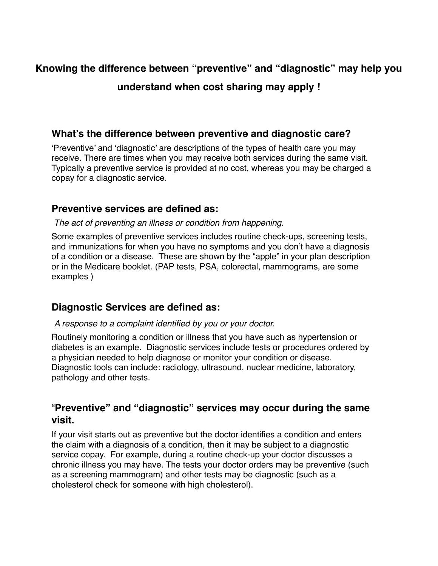# **Knowing the difference between "preventive" and "diagnostic" may help you understand when cost sharing may apply !**

## **What's the difference between preventive and diagnostic care?**

'Preventive' and 'diagnostic' are descriptions of the types of health care you may receive. There are times when you may receive both services during the same visit. Typically a preventive service is provided at no cost, whereas you may be charged a copay for a diagnostic service.

## **Preventive services are defined as:**

#### *The act of preventing an illness or condition from happening.*

Some examples of preventive services includes routine check-ups, screening tests, and immunizations for when you have no symptoms and you don't have a diagnosis of a condition or a disease. These are shown by the "apple" in your plan description or in the Medicare booklet. (PAP tests, PSA, colorectal, mammograms, are some examples )

### **Diagnostic Services are defined as:**

#### *A response to a complaint identified by you or your doctor.*

Routinely monitoring a condition or illness that you have such as hypertension or diabetes is an example. Diagnostic services include tests or procedures ordered by a physician needed to help diagnose or monitor your condition or disease. Diagnostic tools can include: radiology, ultrasound, nuclear medicine, laboratory, pathology and other tests.

## "**Preventive" and "diagnostic" services may occur during the same visit.**

If your visit starts out as preventive but the doctor identifies a condition and enters the claim with a diagnosis of a condition, then it may be subject to a diagnostic service copay. For example, during a routine check-up your doctor discusses a chronic illness you may have. The tests your doctor orders may be preventive (such as a screening mammogram) and other tests may be diagnostic (such as a cholesterol check for someone with high cholesterol).